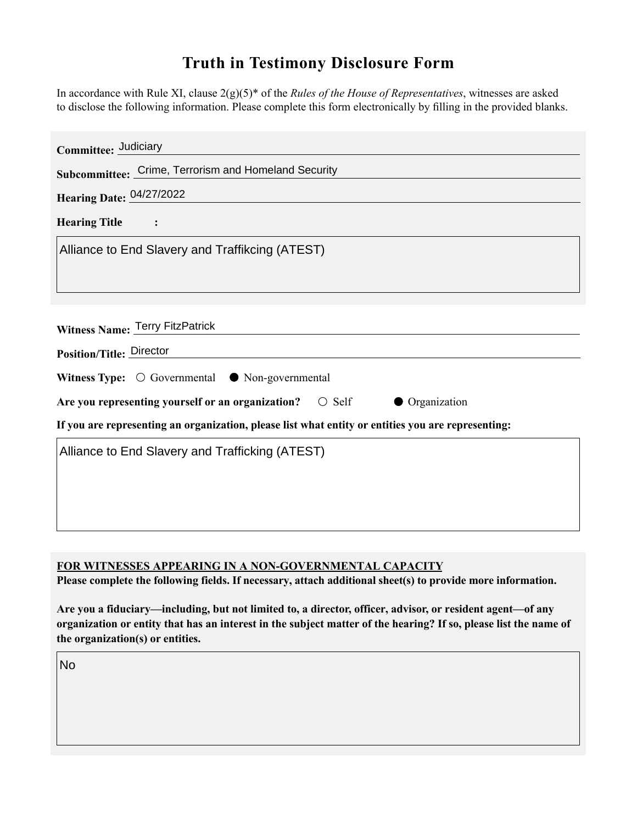## **Truth in Testimony Disclosure Form**

In accordance with Rule XI, clause 2(g)(5)\* of the *Rules of the House of Representatives*, witnesses are asked to disclose the following information. Please complete this form electronically by filling in the provided blanks.

| Committee: Judiciary                                                                               |
|----------------------------------------------------------------------------------------------------|
| Subcommittee: Crime, Terrorism and Homeland Security                                               |
| Hearing Date: 04/27/2022                                                                           |
| <b>Hearing Title</b><br>$\sim$ 1                                                                   |
| Alliance to End Slavery and Traffikcing (ATEST)                                                    |
|                                                                                                    |
| Witness Name: Terry FitzPatrick                                                                    |
| Position/Title: Director                                                                           |
| Witness Type: $\bigcirc$ Governmental $\bullet$ Non-governmental                                   |
| Are you representing yourself or an organization?<br>$\circ$ Self<br><b>Organization</b>           |
| If you are representing an organization, please list what entity or entities you are representing: |
| Alliance to End Slavery and Trafficking (ATEST)                                                    |
|                                                                                                    |
|                                                                                                    |
|                                                                                                    |

## **FOR WITNESSES APPEARING IN A NON-GOVERNMENTAL CAPACITY**

**Please complete the following fields. If necessary, attach additional sheet(s) to provide more information.**

**Are you a fiduciary—including, but not limited to, a director, officer, advisor, or resident agent—of any organization or entity that has an interest in the subject matter of the hearing? If so, please list the name of the organization(s) or entities.**

No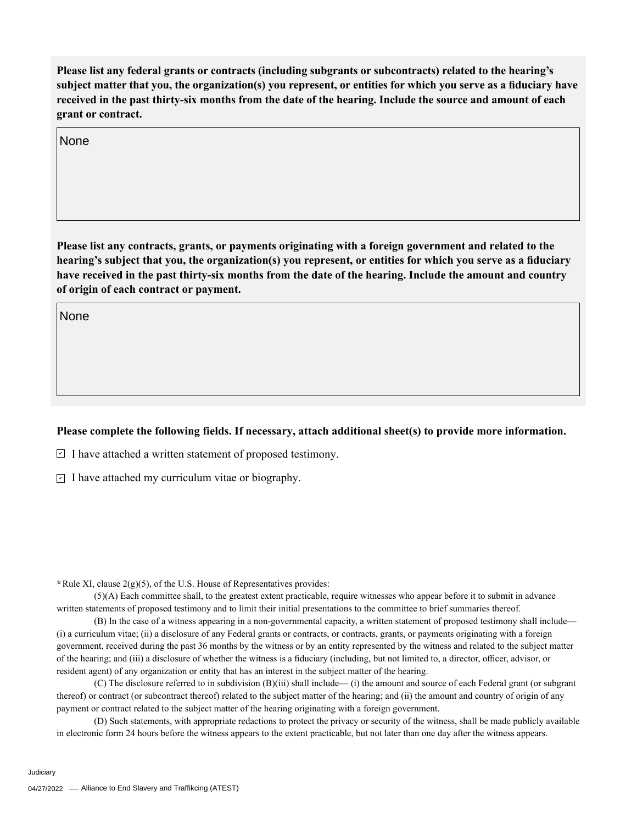**Please list any federal grants or contracts (including subgrants or subcontracts) related to the hearing's subject matter that you, the organization(s) you represent, or entities for which you serve as a fiduciary have received in the past thirty-six months from the date of the hearing. Include the source and amount of each grant or contract.** 

None

**Please list any contracts, grants, or payments originating with a foreign government and related to the hearing's subject that you, the organization(s) you represent, or entities for which you serve as a fiduciary have received in the past thirty-six months from the date of the hearing. Include the amount and country of origin of each contract or payment.** 

None

## **Please complete the following fields. If necessary, attach additional sheet(s) to provide more information.**

 $\exists$  I have attached a written statement of proposed testimony.

 $\subseteq$  I have attached my curriculum vitae or biography.

**\***Rule XI, clause 2(g)(5), of the U.S. House of Representatives provides:

(5)(A) Each committee shall, to the greatest extent practicable, require witnesses who appear before it to submit in advance written statements of proposed testimony and to limit their initial presentations to the committee to brief summaries thereof.

(B) In the case of a witness appearing in a non-governmental capacity, a written statement of proposed testimony shall include— (i) a curriculum vitae; (ii) a disclosure of any Federal grants or contracts, or contracts, grants, or payments originating with a foreign government, received during the past 36 months by the witness or by an entity represented by the witness and related to the subject matter of the hearing; and (iii) a disclosure of whether the witness is a fiduciary (including, but not limited to, a director, officer, advisor, or resident agent) of any organization or entity that has an interest in the subject matter of the hearing.

(C) The disclosure referred to in subdivision (B)(iii) shall include— (i) the amount and source of each Federal grant (or subgrant thereof) or contract (or subcontract thereof) related to the subject matter of the hearing; and (ii) the amount and country of origin of any payment or contract related to the subject matter of the hearing originating with a foreign government.

(D) Such statements, with appropriate redactions to protect the privacy or security of the witness, shall be made publicly available in electronic form 24 hours before the witness appears to the extent practicable, but not later than one day after the witness appears.